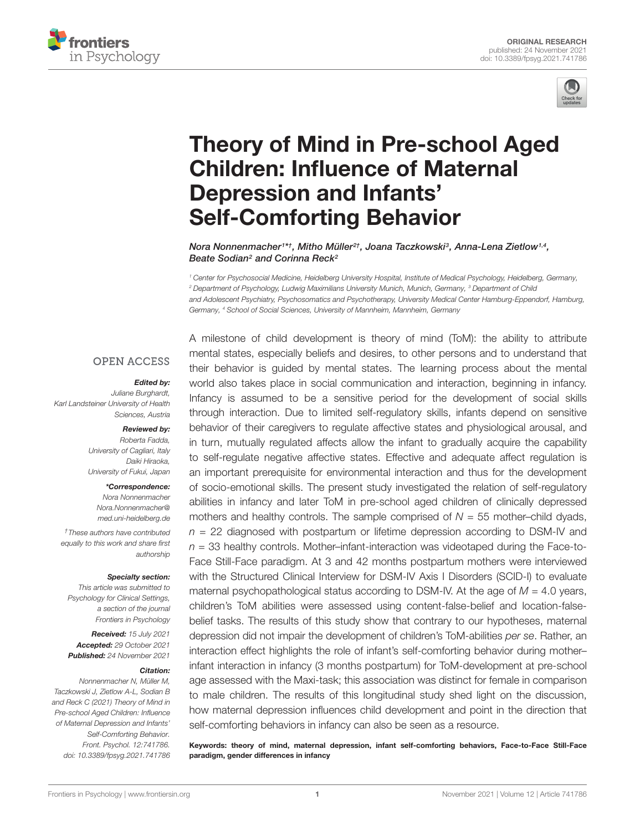



# [Theory of Mind in Pre-school Aged](https://www.frontiersin.org/articles/10.3389/fpsyg.2021.741786/full) Children: Influence of Maternal Depression and Infants' Self-Comforting Behavior

Nora Nonnenmacher1\*†, Mitho Müller<sup>2†</sup>, Joana Taczkowski<sup>3</sup>, Anna-Lena Zietlow1.4, Beate Sodian<sup>2</sup> and Corinna Reck<sup>2</sup>

<sup>1</sup> Center for Psychosocial Medicine, Heidelberg University Hospital, Institute of Medical Psychology, Heidelberg, Germany, <sup>2</sup> Department of Psychology, Ludwig Maximilians University Munich, Munich, Germany, <sup>3</sup> Department of Child and Adolescent Psychiatry, Psychosomatics and Psychotherapy, University Medical Center Hamburg-Eppendorf, Hamburg, Germany, <sup>4</sup> School of Social Sciences, University of Mannheim, Mannheim, Germany

## **OPEN ACCESS**

#### Edited by:

Juliane Burghardt, Karl Landsteiner University of Health Sciences, Austria

#### Reviewed by:

Roberta Fadda, University of Cagliari, Italy Daiki Hiraoka, University of Fukui, Japan

#### \*Correspondence:

Nora Nonnenmacher [Nora.Nonnenmacher@](mailto:Nora.Nonnenmacher@med.uni-heidelberg.de) [med.uni-heidelberg.de](mailto:Nora.Nonnenmacher@med.uni-heidelberg.de)

†These authors have contributed equally to this work and share first authorship

#### Specialty section:

This article was submitted to Psychology for Clinical Settings, a section of the journal Frontiers in Psychology

Received: 15 July 2021 Accepted: 29 October 2021 Published: 24 November 2021

#### Citation:

Nonnenmacher N, Müller M, Taczkowski J, Zietlow A-L, Sodian B and Reck C (2021) Theory of Mind in Pre-school Aged Children: Influence of Maternal Depression and Infants' Self-Comforting Behavior. Front. Psychol. 12:741786. doi: [10.3389/fpsyg.2021.741786](https://doi.org/10.3389/fpsyg.2021.741786) A milestone of child development is theory of mind (ToM): the ability to attribute mental states, especially beliefs and desires, to other persons and to understand that their behavior is guided by mental states. The learning process about the mental world also takes place in social communication and interaction, beginning in infancy. Infancy is assumed to be a sensitive period for the development of social skills through interaction. Due to limited self-regulatory skills, infants depend on sensitive behavior of their caregivers to regulate affective states and physiological arousal, and in turn, mutually regulated affects allow the infant to gradually acquire the capability to self-regulate negative affective states. Effective and adequate affect regulation is an important prerequisite for environmental interaction and thus for the development of socio-emotional skills. The present study investigated the relation of self-regulatory abilities in infancy and later ToM in pre-school aged children of clinically depressed mothers and healthy controls. The sample comprised of  $N = 55$  mother–child dyads,  $n = 22$  diagnosed with postpartum or lifetime depression according to DSM-IV and  $n = 33$  healthy controls. Mother–infant-interaction was videotaped during the Face-to-Face Still-Face paradigm. At 3 and 42 months postpartum mothers were interviewed with the Structured Clinical Interview for DSM-IV Axis I Disorders (SCID-I) to evaluate maternal psychopathological status according to DSM-IV. At the age of  $M = 4.0$  years, children's ToM abilities were assessed using content-false-belief and location-falsebelief tasks. The results of this study show that contrary to our hypotheses, maternal depression did not impair the development of children's ToM-abilities per se. Rather, an interaction effect highlights the role of infant's self-comforting behavior during mother– infant interaction in infancy (3 months postpartum) for ToM-development at pre-school age assessed with the Maxi-task; this association was distinct for female in comparison to male children. The results of this longitudinal study shed light on the discussion, how maternal depression influences child development and point in the direction that self-comforting behaviors in infancy can also be seen as a resource.

Keywords: theory of mind, maternal depression, infant self-comforting behaviors, Face-to-Face Still-Face paradigm, gender differences in infancy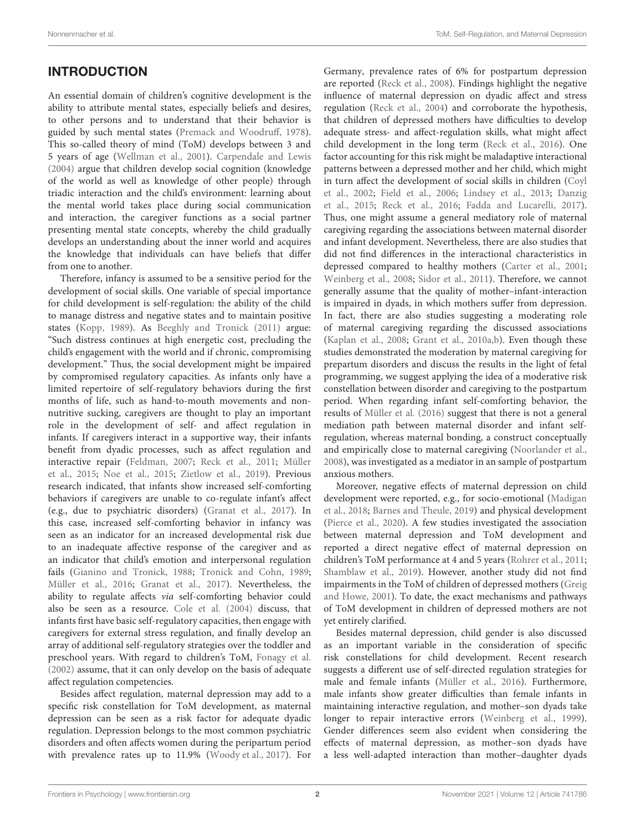# **INTRODUCTION**

An essential domain of children's cognitive development is the ability to attribute mental states, especially beliefs and desires, to other persons and to understand that their behavior is guided by such mental states [\(Premack and Woodruff,](#page-8-0) [1978\)](#page-8-0). This so-called theory of mind (ToM) develops between 3 and 5 years of age [\(Wellman et al.,](#page-8-1) [2001\)](#page-8-1). [Carpendale and Lewis](#page-7-0) [\(2004\)](#page-7-0) argue that children develop social cognition (knowledge of the world as well as knowledge of other people) through triadic interaction and the child's environment: learning about the mental world takes place during social communication and interaction, the caregiver functions as a social partner presenting mental state concepts, whereby the child gradually develops an understanding about the inner world and acquires the knowledge that individuals can have beliefs that differ from one to another.

Therefore, infancy is assumed to be a sensitive period for the development of social skills. One variable of special importance for child development is self-regulation: the ability of the child to manage distress and negative states and to maintain positive states [\(Kopp,](#page-8-2) [1989\)](#page-8-2). As [Beeghly and Tronick](#page-7-1) [\(2011\)](#page-7-1) argue: "Such distress continues at high energetic cost, precluding the child's engagement with the world and if chronic, compromising development." Thus, the social development might be impaired by compromised regulatory capacities. As infants only have a limited repertoire of self-regulatory behaviors during the first months of life, such as hand-to-mouth movements and nonnutritive sucking, caregivers are thought to play an important role in the development of self- and affect regulation in infants. If caregivers interact in a supportive way, their infants benefit from dyadic processes, such as affect regulation and interactive repair [\(Feldman,](#page-7-2) [2007;](#page-7-2) [Reck et al.,](#page-8-3) [2011;](#page-8-3) [Müller](#page-8-4) [et al.,](#page-8-4) [2015;](#page-8-4) [Noe et al.,](#page-8-5) [2015;](#page-8-5) [Zietlow et al.,](#page-8-6) [2019\)](#page-8-6). Previous research indicated, that infants show increased self-comforting behaviors if caregivers are unable to co-regulate infant's affect (e.g., due to psychiatric disorders) [\(Granat et al.,](#page-7-3) [2017\)](#page-7-3). In this case, increased self-comforting behavior in infancy was seen as an indicator for an increased developmental risk due to an inadequate affective response of the caregiver and as an indicator that child's emotion and interpersonal regulation fails [\(Gianino and Tronick,](#page-7-4) [1988;](#page-7-4) [Tronick and Cohn,](#page-8-7) [1989;](#page-8-7) [Müller et al.,](#page-8-8) [2016;](#page-8-8) [Granat et al.,](#page-7-3) [2017\)](#page-7-3). Nevertheless, the ability to regulate affects via self-comforting behavior could also be seen as a resource. [Cole et al.](#page-7-5) [\(2004\)](#page-7-5) discuss, that infants first have basic self-regulatory capacities, then engage with caregivers for external stress regulation, and finally develop an array of additional self-regulatory strategies over the toddler and preschool years. With regard to children's ToM, [Fonagy et al.](#page-7-6) [\(2002\)](#page-7-6) assume, that it can only develop on the basis of adequate affect regulation competencies.

Besides affect regulation, maternal depression may add to a specific risk constellation for ToM development, as maternal depression can be seen as a risk factor for adequate dyadic regulation. Depression belongs to the most common psychiatric disorders and often affects women during the peripartum period with prevalence rates up to 11.9% [\(Woody et al.,](#page-8-9) [2017\)](#page-8-9). For

Germany, prevalence rates of 6% for postpartum depression are reported [\(Reck et al.,](#page-8-10) [2008\)](#page-8-10). Findings highlight the negative influence of maternal depression on dyadic affect and stress regulation [\(Reck et al.,](#page-8-11) [2004\)](#page-8-11) and corroborate the hypothesis, that children of depressed mothers have difficulties to develop adequate stress- and affect-regulation skills, what might affect child development in the long term [\(Reck et al.,](#page-8-12) [2016\)](#page-8-12). One factor accounting for this risk might be maladaptive interactional patterns between a depressed mother and her child, which might in turn affect the development of social skills in children [\(Coyl](#page-7-7) [et al.,](#page-7-7) [2002;](#page-7-7) [Field et al.,](#page-7-8) [2006;](#page-7-8) [Lindsey et al.,](#page-8-13) [2013;](#page-8-13) [Danzig](#page-7-9) [et al.,](#page-7-9) [2015;](#page-7-9) [Reck et al.,](#page-8-12) [2016;](#page-8-12) [Fadda and Lucarelli,](#page-7-10) [2017\)](#page-7-10). Thus, one might assume a general mediatory role of maternal caregiving regarding the associations between maternal disorder and infant development. Nevertheless, there are also studies that did not find differences in the interactional characteristics in depressed compared to healthy mothers [\(Carter et al.,](#page-7-11) [2001;](#page-7-11) [Weinberg et al.,](#page-8-14) [2008;](#page-8-14) [Sidor et al.,](#page-8-15) [2011\)](#page-8-15). Therefore, we cannot generally assume that the quality of mother–infant-interaction is impaired in dyads, in which mothers suffer from depression. In fact, there are also studies suggesting a moderating role of maternal caregiving regarding the discussed associations [\(Kaplan et al.,](#page-8-16) [2008;](#page-8-16) [Grant et al.,](#page-7-12) [2010a](#page-7-12)[,b\)](#page-7-13). Even though these studies demonstrated the moderation by maternal caregiving for prepartum disorders and discuss the results in the light of fetal programming, we suggest applying the idea of a moderative risk constellation between disorder and caregiving to the postpartum period. When regarding infant self-comforting behavior, the results of [Müller et al.](#page-8-8) [\(2016\)](#page-8-8) suggest that there is not a general mediation path between maternal disorder and infant selfregulation, whereas maternal bonding, a construct conceptually and empirically close to maternal caregiving [\(Noorlander et al.,](#page-8-17) [2008\)](#page-8-17), was investigated as a mediator in an sample of postpartum anxious mothers.

Moreover, negative effects of maternal depression on child development were reported, e.g., for socio-emotional [\(Madigan](#page-8-18) [et al.,](#page-8-18) [2018;](#page-8-18) [Barnes and Theule,](#page-7-14) [2019\)](#page-7-14) and physical development [\(Pierce et al.,](#page-8-19) [2020\)](#page-8-19). A few studies investigated the association between maternal depression and ToM development and reported a direct negative effect of maternal depression on children's ToM performance at 4 and 5 years [\(Rohrer et al.,](#page-8-20) [2011;](#page-8-20) [Shamblaw et al.,](#page-8-21) [2019\)](#page-8-21). However, another study did not find impairments in the ToM of children of depressed mothers [\(Greig](#page-7-15) [and Howe,](#page-7-15) [2001\)](#page-7-15). To date, the exact mechanisms and pathways of ToM development in children of depressed mothers are not yet entirely clarified.

Besides maternal depression, child gender is also discussed as an important variable in the consideration of specific risk constellations for child development. Recent research suggests a different use of self-directed regulation strategies for male and female infants [\(Müller et al.,](#page-8-8) [2016\)](#page-8-8). Furthermore, male infants show greater difficulties than female infants in maintaining interactive regulation, and mother–son dyads take longer to repair interactive errors [\(Weinberg et al.,](#page-8-22) [1999\)](#page-8-22). Gender differences seem also evident when considering the effects of maternal depression, as mother–son dyads have a less well-adapted interaction than mother–daughter dyads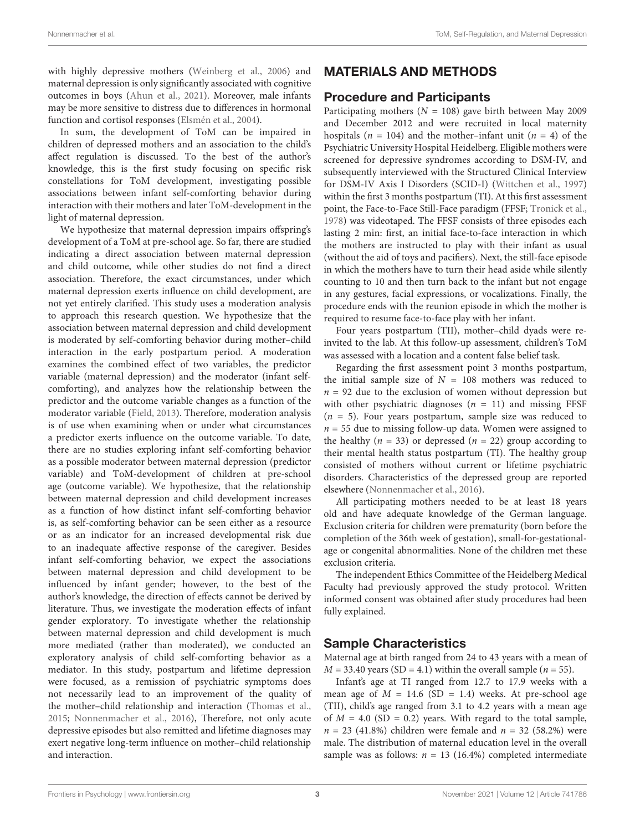with highly depressive mothers [\(Weinberg et al.,](#page-8-23) [2006\)](#page-8-23) and maternal depression is only significantly associated with cognitive outcomes in boys [\(Ahun et al.,](#page-7-16) [2021\)](#page-7-16). Moreover, male infants may be more sensitive to distress due to differences in hormonal function and cortisol responses [\(Elsmén et al.,](#page-7-17) [2004\)](#page-7-17).

In sum, the development of ToM can be impaired in children of depressed mothers and an association to the child's affect regulation is discussed. To the best of the author's knowledge, this is the first study focusing on specific risk constellations for ToM development, investigating possible associations between infant self-comforting behavior during interaction with their mothers and later ToM-development in the light of maternal depression.

We hypothesize that maternal depression impairs offspring's development of a ToM at pre-school age. So far, there are studied indicating a direct association between maternal depression and child outcome, while other studies do not find a direct association. Therefore, the exact circumstances, under which maternal depression exerts influence on child development, are not yet entirely clarified. This study uses a moderation analysis to approach this research question. We hypothesize that the association between maternal depression and child development is moderated by self-comforting behavior during mother–child interaction in the early postpartum period. A moderation examines the combined effect of two variables, the predictor variable (maternal depression) and the moderator (infant selfcomforting), and analyzes how the relationship between the predictor and the outcome variable changes as a function of the moderator variable [\(Field,](#page-7-18) [2013\)](#page-7-18). Therefore, moderation analysis is of use when examining when or under what circumstances a predictor exerts influence on the outcome variable. To date, there are no studies exploring infant self-comforting behavior as a possible moderator between maternal depression (predictor variable) and ToM-development of children at pre-school age (outcome variable). We hypothesize, that the relationship between maternal depression and child development increases as a function of how distinct infant self-comforting behavior is, as self-comforting behavior can be seen either as a resource or as an indicator for an increased developmental risk due to an inadequate affective response of the caregiver. Besides infant self-comforting behavior, we expect the associations between maternal depression and child development to be influenced by infant gender; however, to the best of the author's knowledge, the direction of effects cannot be derived by literature. Thus, we investigate the moderation effects of infant gender exploratory. To investigate whether the relationship between maternal depression and child development is much more mediated (rather than moderated), we conducted an exploratory analysis of child self-comforting behavior as a mediator. In this study, postpartum and lifetime depression were focused, as a remission of psychiatric symptoms does not necessarily lead to an improvement of the quality of the mother–child relationship and interaction [\(Thomas et al.,](#page-8-24) [2015;](#page-8-24) [Nonnenmacher et al.,](#page-8-25) [2016\)](#page-8-25), Therefore, not only acute depressive episodes but also remitted and lifetime diagnoses may exert negative long-term influence on mother–child relationship and interaction.

# MATERIALS AND METHODS

# Procedure and Participants

Participating mothers ( $N = 108$ ) gave birth between May 2009 and December 2012 and were recruited in local maternity hospitals ( $n = 104$ ) and the mother-infant unit ( $n = 4$ ) of the Psychiatric University Hospital Heidelberg. Eligible mothers were screened for depressive syndromes according to DSM-IV, and subsequently interviewed with the Structured Clinical Interview for DSM-IV Axis I Disorders (SCID-I) [\(Wittchen et al.,](#page-8-26) [1997\)](#page-8-26) within the first 3 months postpartum (TI). At this first assessment point, the Face-to-Face Still-Face paradigm (FFSF; [Tronick et al.,](#page-8-27) [1978\)](#page-8-27) was videotaped. The FFSF consists of three episodes each lasting 2 min: first, an initial face-to-face interaction in which the mothers are instructed to play with their infant as usual (without the aid of toys and pacifiers). Next, the still-face episode in which the mothers have to turn their head aside while silently counting to 10 and then turn back to the infant but not engage in any gestures, facial expressions, or vocalizations. Finally, the procedure ends with the reunion episode in which the mother is required to resume face-to-face play with her infant.

Four years postpartum (TII), mother–child dyads were reinvited to the lab. At this follow-up assessment, children's ToM was assessed with a location and a content false belief task.

Regarding the first assessment point 3 months postpartum, the initial sample size of  $N = 108$  mothers was reduced to  $n = 92$  due to the exclusion of women without depression but with other psychiatric diagnoses ( $n = 11$ ) and missing FFSF  $(n = 5)$ . Four years postpartum, sample size was reduced to  $n = 55$  due to missing follow-up data. Women were assigned to the healthy ( $n = 33$ ) or depressed ( $n = 22$ ) group according to their mental health status postpartum (TI). The healthy group consisted of mothers without current or lifetime psychiatric disorders. Characteristics of the depressed group are reported elsewhere [\(Nonnenmacher et al.,](#page-8-25) [2016\)](#page-8-25).

All participating mothers needed to be at least 18 years old and have adequate knowledge of the German language. Exclusion criteria for children were prematurity (born before the completion of the 36th week of gestation), small-for-gestationalage or congenital abnormalities. None of the children met these exclusion criteria.

The independent Ethics Committee of the Heidelberg Medical Faculty had previously approved the study protocol. Written informed consent was obtained after study procedures had been fully explained.

# Sample Characteristics

Maternal age at birth ranged from 24 to 43 years with a mean of  $M = 33.40$  years (SD = 4.1) within the overall sample ( $n = 55$ ).

Infant's age at TI ranged from 12.7 to 17.9 weeks with a mean age of  $M = 14.6$  (SD = 1.4) weeks. At pre-school age (TII), child's age ranged from 3.1 to 4.2 years with a mean age of  $M = 4.0$  (SD = 0.2) years. With regard to the total sample,  $n = 23$  (41.8%) children were female and  $n = 32$  (58.2%) were male. The distribution of maternal education level in the overall sample was as follows:  $n = 13$  (16.4%) completed intermediate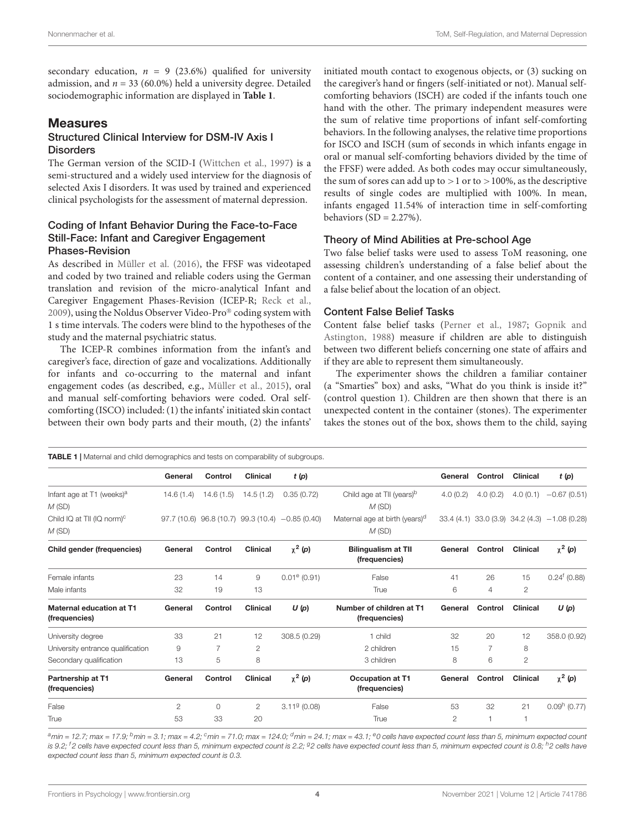secondary education,  $n = 9$  (23.6%) qualified for university admission, and  $n = 33$  (60.0%) held a university degree. Detailed sociodemographic information are displayed in **[Table 1](#page-3-0)**.

## **Measures**

## Structured Clinical Interview for DSM-IV Axis I **Disorders**

The German version of the SCID-I [\(Wittchen et al.,](#page-8-26) [1997\)](#page-8-26) is a semi-structured and a widely used interview for the diagnosis of selected Axis I disorders. It was used by trained and experienced clinical psychologists for the assessment of maternal depression.

## Coding of Infant Behavior During the Face-to-Face Still-Face: Infant and Caregiver Engagement Phases-Revision

As described in [Müller et al.](#page-8-8) [\(2016\)](#page-8-8), the FFSF was videotaped and coded by two trained and reliable coders using the German translation and revision of the micro-analytical Infant and Caregiver Engagement Phases-Revision (ICEP-R; [Reck et al.,](#page-8-28) [2009\)](#page-8-28), using the Noldus Observer Video-Pro® coding system with 1 s time intervals. The coders were blind to the hypotheses of the study and the maternal psychiatric status.

The ICEP-R combines information from the infant's and caregiver's face, direction of gaze and vocalizations. Additionally for infants and co-occurring to the maternal and infant engagement codes (as described, e.g., [Müller et al.,](#page-8-4) [2015\)](#page-8-4), oral and manual self-comforting behaviors were coded. Oral selfcomforting (ISCO) included: (1) the infants' initiated skin contact between their own body parts and their mouth, (2) the infants'

initiated mouth contact to exogenous objects, or (3) sucking on the caregiver's hand or fingers (self-initiated or not). Manual selfcomforting behaviors (ISCH) are coded if the infants touch one hand with the other. The primary independent measures were the sum of relative time proportions of infant self-comforting behaviors. In the following analyses, the relative time proportions for ISCO and ISCH (sum of seconds in which infants engage in oral or manual self-comforting behaviors divided by the time of the FFSF) were added. As both codes may occur simultaneously, the sum of sores can add up to  $>1$  or to  $>100\%$ , as the descriptive results of single codes are multiplied with 100%. In mean, infants engaged 11.54% of interaction time in self-comforting behaviors  $(SD = 2.27\%)$ .

## Theory of Mind Abilities at Pre-school Age

Two false belief tasks were used to assess ToM reasoning, one assessing children's understanding of a false belief about the content of a container, and one assessing their understanding of a false belief about the location of an object.

## Content False Belief Tasks

Content false belief tasks [\(Perner et al.,](#page-8-29) [1987;](#page-8-29) [Gopnik and](#page-7-19) [Astington,](#page-7-19) [1988\)](#page-7-19) measure if children are able to distinguish between two different beliefs concerning one state of affairs and if they are able to represent them simultaneously.

The experimenter shows the children a familiar container (a "Smarties" box) and asks, "What do you think is inside it?" (control question 1). Children are then shown that there is an unexpected content in the container (stones). The experimenter takes the stones out of the box, shows them to the child, saying

<span id="page-3-0"></span>

| <b>TABLE 1</b>   Maternal and child demographics and tests on comparability of subgroups. |                |           |                 |                                                      |                                                     |                |                |                 |                                               |  |  |  |
|-------------------------------------------------------------------------------------------|----------------|-----------|-----------------|------------------------------------------------------|-----------------------------------------------------|----------------|----------------|-----------------|-----------------------------------------------|--|--|--|
|                                                                                           | General        | Control   | <b>Clinical</b> | t(p)                                                 |                                                     | General        | Control        | <b>Clinical</b> | t(p)                                          |  |  |  |
| Infant age at T1 (weeks) <sup>a</sup><br>M(SD)                                            | 14.6(1.4)      | 14.6(1.5) | 14.5(1.2)       | 0.35(0.72)                                           | Child age at TII (years) <sup>b</sup><br>M(SD)      | 4.0(0.2)       | 4.0(0.2)       | 4.0(0.1)        | $-0.67(0.51)$                                 |  |  |  |
| Child IQ at TII (IQ norm) <sup>c</sup><br>M(SD)                                           |                |           |                 | $97.7(10.6)$ $96.8(10.7)$ $99.3(10.4)$ $-0.85(0.40)$ | Maternal age at birth (years) <sup>d</sup><br>M(SD) |                |                |                 | 33.4 (4.1) 33.0 (3.9) 34.2 (4.3) -1.08 (0.28) |  |  |  |
| Child gender (frequencies)                                                                | General        | Control   | <b>Clinical</b> | $\chi^2$ (p)                                         | <b>Bilingualism at TII</b><br>(frequencies)         | General        | Control        | Clinical        | $\chi^2$ (p)                                  |  |  |  |
| Female infants                                                                            | 23             | 14        | 9               | $0.01^{\circ}$ (0.91)                                | False                                               | 41             | 26             | 15              | $0.24^{f}$ (0.88)                             |  |  |  |
| Male infants                                                                              | 32             | 19        | 13              |                                                      | True                                                | 6              | $\overline{4}$ | $\mathbf{2}$    |                                               |  |  |  |
| Maternal education at T1<br>(frequencies)                                                 | General        | Control   | <b>Clinical</b> | U(p)                                                 | Number of children at T1<br>(frequencies)           | General        | Control        | Clinical        | U(p)                                          |  |  |  |
| University degree                                                                         | 33             | 21        | 12              | 308.5 (0.29)                                         | 1 child                                             | 32             | 20             | 12              | 358.0 (0.92)                                  |  |  |  |
| University entrance qualification                                                         | 9              | 7         | $\overline{c}$  |                                                      | 2 children                                          | 15             | $\overline{7}$ | 8               |                                               |  |  |  |
| Secondary qualification                                                                   | 13             | 5         | 8               |                                                      | 3 children                                          | 8              | 6              | $\overline{c}$  |                                               |  |  |  |
| Partnership at T1<br>(frequencies)                                                        | General        | Control   | <b>Clinical</b> | $\chi^2$ (p)                                         | <b>Occupation at T1</b><br>(frequencies)            | General        | Control        | <b>Clinical</b> | $\chi^2$ (p)                                  |  |  |  |
| False                                                                                     | $\overline{c}$ | 0         | $\mathbf{2}$    | $3.119$ (0.08)                                       | False                                               | 53             | 32             | 21              | $0.09h$ (0.77)                                |  |  |  |
| True                                                                                      | 53             | 33        | 20              |                                                      | True                                                | $\overline{c}$ | 1              |                 |                                               |  |  |  |

 $a$ min = 12.7; max = 17.9;  $b$ min = 3.1; max = 4.2;  $c$ min = 71.0; max = 124.0;  $d$ min = 24.1; max = 43.1;  $e$ 0 cells have expected count less than 5, minimum expected count is 9.2; <sup>f</sup>2 cells have expected count less than 5, minimum expected count is 2.2; <sup>g</sup>2 cells have expected count less than 5, minimum expected count is 0.8; <sup>h</sup>2 cells have expected count less than 5, minimum expected count is 0.3.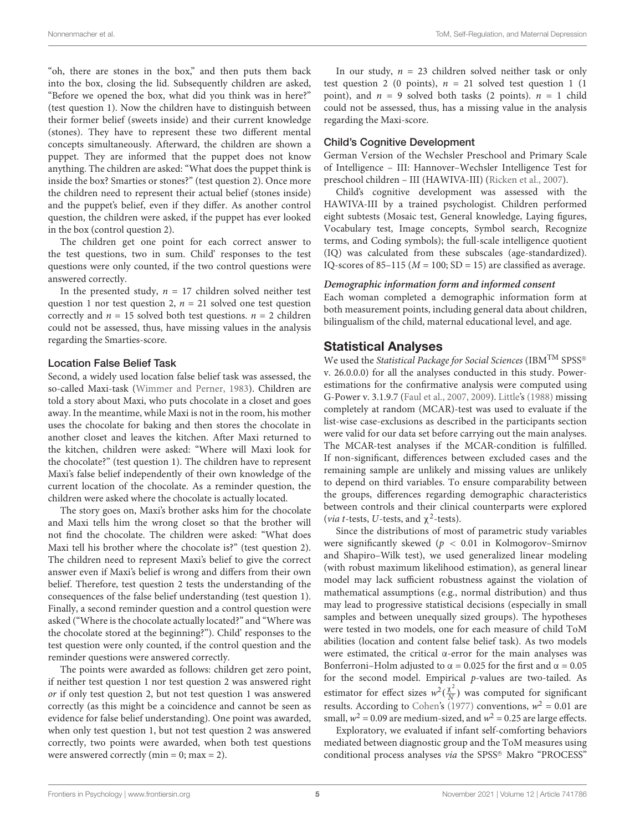"oh, there are stones in the box," and then puts them back into the box, closing the lid. Subsequently children are asked, "Before we opened the box, what did you think was in here?" (test question 1). Now the children have to distinguish between their former belief (sweets inside) and their current knowledge (stones). They have to represent these two different mental concepts simultaneously. Afterward, the children are shown a puppet. They are informed that the puppet does not know anything. The children are asked: "What does the puppet think is inside the box? Smarties or stones?" (test question 2). Once more the children need to represent their actual belief (stones inside) and the puppet's belief, even if they differ. As another control question, the children were asked, if the puppet has ever looked in the box (control question 2).

The children get one point for each correct answer to the test questions, two in sum. Child' responses to the test questions were only counted, if the two control questions were answered correctly.

In the presented study,  $n = 17$  children solved neither test question 1 nor test question 2,  $n = 21$  solved one test question correctly and  $n = 15$  solved both test questions.  $n = 2$  children could not be assessed, thus, have missing values in the analysis regarding the Smarties-score.

#### Location False Belief Task

Second, a widely used location false belief task was assessed, the so-called Maxi-task [\(Wimmer and Perner,](#page-8-30) [1983\)](#page-8-30). Children are told a story about Maxi, who puts chocolate in a closet and goes away. In the meantime, while Maxi is not in the room, his mother uses the chocolate for baking and then stores the chocolate in another closet and leaves the kitchen. After Maxi returned to the kitchen, children were asked: "Where will Maxi look for the chocolate?" (test question 1). The children have to represent Maxi's false belief independently of their own knowledge of the current location of the chocolate. As a reminder question, the children were asked where the chocolate is actually located.

The story goes on, Maxi's brother asks him for the chocolate and Maxi tells him the wrong closet so that the brother will not find the chocolate. The children were asked: "What does Maxi tell his brother where the chocolate is?" (test question 2). The children need to represent Maxi's belief to give the correct answer even if Maxi's belief is wrong and differs from their own belief. Therefore, test question 2 tests the understanding of the consequences of the false belief understanding (test question 1). Finally, a second reminder question and a control question were asked ("Where is the chocolate actually located?" and "Where was the chocolate stored at the beginning?"). Child' responses to the test question were only counted, if the control question and the reminder questions were answered correctly.

The points were awarded as follows: children get zero point, if neither test question 1 nor test question 2 was answered right or if only test question 2, but not test question 1 was answered correctly (as this might be a coincidence and cannot be seen as evidence for false belief understanding). One point was awarded, when only test question 1, but not test question 2 was answered correctly, two points were awarded, when both test questions were answered correctly (min = 0; max = 2).

In our study,  $n = 23$  children solved neither task or only test question 2 (0 points),  $n = 21$  solved test question 1 (1) point), and  $n = 9$  solved both tasks (2 points).  $n = 1$  child could not be assessed, thus, has a missing value in the analysis regarding the Maxi-score.

## Child's Cognitive Development

German Version of the Wechsler Preschool and Primary Scale of Intelligence – III: Hannover–Wechsler Intelligence Test for preschool children – III (HAWIVA-III) [\(Ricken et al.,](#page-8-31) [2007\)](#page-8-31).

Child's cognitive development was assessed with the HAWIVA-III by a trained psychologist. Children performed eight subtests (Mosaic test, General knowledge, Laying figures, Vocabulary test, Image concepts, Symbol search, Recognize terms, and Coding symbols); the full-scale intelligence quotient (IQ) was calculated from these subscales (age-standardized). IQ-scores of 85–115 ( $M = 100$ ; SD = 15) are classified as average.

#### **Demographic information form and informed consent**

Each woman completed a demographic information form at both measurement points, including general data about children, bilingualism of the child, maternal educational level, and age.

## Statistical Analyses

We used the Statistical Package for Social Sciences (IBM<sup>TM</sup> SPSS® v. 26.0.0.0) for all the analyses conducted in this study. Powerestimations for the confirmative analysis were computed using G-Power v. 3.1.9.7 [\(Faul et al.,](#page-7-20) [2007,](#page-7-20) [2009\)](#page-7-21). [Little'](#page-8-32)s [\(1988\)](#page-8-32) missing completely at random (MCAR)-test was used to evaluate if the list-wise case-exclusions as described in the participants section were valid for our data set before carrying out the main analyses. The MCAR-test analyses if the MCAR-condition is fulfilled. If non-significant, differences between excluded cases and the remaining sample are unlikely and missing values are unlikely to depend on third variables. To ensure comparability between the groups, differences regarding demographic characteristics between controls and their clinical counterparts were explored (*via t*-tests, *U*-tests, and  $\chi^2$ -tests).

Since the distributions of most of parametric study variables were significantly skewed ( $p < 0.01$  in Kolmogorov–Smirnov and Shapiro–Wilk test), we used generalized linear modeling (with robust maximum likelihood estimation), as general linear model may lack sufficient robustness against the violation of mathematical assumptions (e.g., normal distribution) and thus may lead to progressive statistical decisions (especially in small samples and between unequally sized groups). The hypotheses were tested in two models, one for each measure of child ToM abilities (location and content false belief task). As two models were estimated, the critical  $\alpha$ -error for the main analyses was Bonferroni–Holm adjusted to  $\alpha$  = 0.025 for the first and  $\alpha$  = 0.05 for the second model. Empirical p-values are two-tailed. As estimator for effect sizes  $w^2(\frac{\chi^2}{N})$  $\frac{X^2}{N}$ ) was computed for significant results. According to [Cohen'](#page-7-22)s [\(1977\)](#page-7-22) conventions,  $w^2 = 0.01$  are small,  $w^2 = 0.09$  are medium-sized, and  $w^2 = 0.25$  are large effects.

Exploratory, we evaluated if infant self-comforting behaviors mediated between diagnostic group and the ToM measures using conditional process analyses via the SPSS® Makro "PROCESS"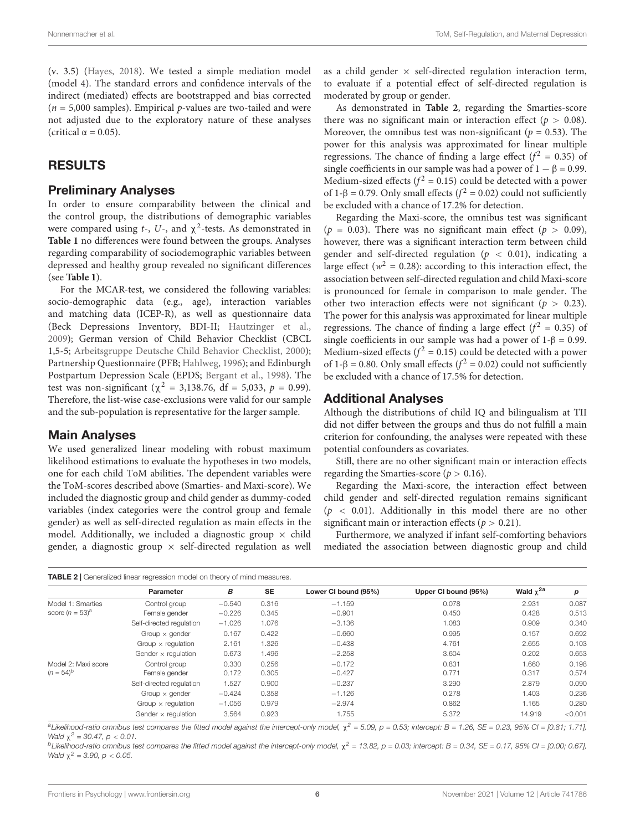(v. 3.5) [\(Hayes,](#page-7-23) [2018\)](#page-7-23). We tested a simple mediation model (model 4). The standard errors and confidence intervals of the indirect (mediated) effects are bootstrapped and bias corrected  $(n = 5,000$  samples). Empirical p-values are two-tailed and were not adjusted due to the exploratory nature of these analyses (critical  $\alpha = 0.05$ ).

# RESULTS

## Preliminary Analyses

In order to ensure comparability between the clinical and the control group, the distributions of demographic variables were compared using  $t$ -,  $U$ -, and  $\chi^2$ -tests. As demonstrated in **[Table 1](#page-3-0)** no differences were found between the groups. Analyses regarding comparability of sociodemographic variables between depressed and healthy group revealed no significant differences (see **[Table 1](#page-3-0)**).

For the MCAR-test, we considered the following variables: socio-demographic data (e.g., age), interaction variables and matching data (ICEP-R), as well as questionnaire data (Beck Depressions Inventory, BDI-II; [Hautzinger et al.,](#page-7-24) [2009\)](#page-7-24); German version of Child Behavior Checklist (CBCL 1,5-5; [Arbeitsgruppe Deutsche Child Behavior Checklist,](#page-7-25) [2000\)](#page-7-25); Partnership Questionnaire (PFB; [Hahlweg,](#page-7-26) [1996\)](#page-7-26); and Edinburgh Postpartum Depression Scale (EPDS; [Bergant et al.,](#page-7-27) [1998\)](#page-7-27). The test was non-significant ( $\chi^2 = 3,138.76$ , df = 5,033, p = 0.99). Therefore, the list-wise case-exclusions were valid for our sample and the sub-population is representative for the larger sample.

## Main Analyses

We used generalized linear modeling with robust maximum likelihood estimations to evaluate the hypotheses in two models, one for each child ToM abilities. The dependent variables were the ToM-scores described above (Smarties- and Maxi-score). We included the diagnostic group and child gender as dummy-coded variables (index categories were the control group and female gender) as well as self-directed regulation as main effects in the model. Additionally, we included a diagnostic group  $\times$  child gender, a diagnostic group  $\times$  self-directed regulation as well as a child gender  $\times$  self-directed regulation interaction term, to evaluate if a potential effect of self-directed regulation is moderated by group or gender.

As demonstrated in **[Table 2](#page-5-0)**, regarding the Smarties-score there was no significant main or interaction effect ( $p > 0.08$ ). Moreover, the omnibus test was non-significant ( $p = 0.53$ ). The power for this analysis was approximated for linear multiple regressions. The chance of finding a large effect ( $f^2 = 0.35$ ) of single coefficients in our sample was had a power of  $1 - \beta = 0.99$ . Medium-sized effects ( $f^2 = 0.15$ ) could be detected with a power of 1-β = 0.79. Only small effects ( $f^2$  = 0.02) could not sufficiently be excluded with a chance of 17.2% for detection.

Regarding the Maxi-score, the omnibus test was significant ( $p = 0.03$ ). There was no significant main effect ( $p > 0.09$ ), however, there was a significant interaction term between child gender and self-directed regulation ( $p < 0.01$ ), indicating a large effect ( $w^2 = 0.28$ ): according to this interaction effect, the association between self-directed regulation and child Maxi-score is pronounced for female in comparison to male gender. The other two interaction effects were not significant ( $p > 0.23$ ). The power for this analysis was approximated for linear multiple regressions. The chance of finding a large effect ( $f^2 = 0.35$ ) of single coefficients in our sample was had a power of  $1-\beta = 0.99$ . Medium-sized effects ( $f^2 = 0.15$ ) could be detected with a power of 1-β = 0.80. Only small effects ( $f^2$  = 0.02) could not sufficiently be excluded with a chance of 17.5% for detection.

## Additional Analyses

Although the distributions of child IQ and bilingualism at TII did not differ between the groups and thus do not fulfill a main criterion for confounding, the analyses were repeated with these potential confounders as covariates.

Still, there are no other significant main or interaction effects regarding the Smarties-score ( $p > 0.16$ ).

Regarding the Maxi-score, the interaction effect between child gender and self-directed regulation remains significant  $(p < 0.01)$ . Additionally in this model there are no other significant main or interaction effects ( $p > 0.21$ ).

Furthermore, we analyzed if infant self-comforting behaviors mediated the association between diagnostic group and child

<span id="page-5-0"></span>

|                                       | Parameter                  | в        | <b>SE</b> | Lower CI bound (95%) | Upper CI bound (95%) | Wald $\chi^{2a}$ | р       |
|---------------------------------------|----------------------------|----------|-----------|----------------------|----------------------|------------------|---------|
| Model 1: Smarties                     | Control group              | $-0.540$ | 0.316     | $-1.159$             | 0.078                | 2.931            | 0.087   |
| score $(n = 53)^a$                    | Female gender              | $-0.226$ | 0.345     | $-0.901$             | 0.450                | 0.428            | 0.513   |
|                                       | Self-directed regulation   | $-1.026$ | 1.076     | $-3.136$             | 1.083                | 0.909            | 0.340   |
|                                       | Group $\times$ gender      | 0.167    | 0.422     | $-0.660$             | 0.995                | 0.157            | 0.692   |
|                                       | Group $\times$ regulation  | 2.161    | 1.326     | $-0.438$             | 4.761                | 2.655            | 0.103   |
|                                       | Gender $\times$ regulation | 0.673    | 1.496     | $-2.258$             | 3.604                | 0.202            | 0.653   |
| Model 2: Maxi score<br>$(n = 54)^{6}$ | Control group              | 0.330    | 0.256     | $-0.172$             | 0.831                | 1.660            | 0.198   |
|                                       | Female gender              | 0.172    | 0.305     | $-0.427$             | 0.771                | 0.317            | 0.574   |
|                                       | Self-directed regulation   | 1.527    | 0.900     | $-0.237$             | 3.290                | 2.879            | 0.090   |
|                                       | Group $\times$ gender      | $-0.424$ | 0.358     | $-1.126$             | 0.278                | 1.403            | 0.236   |
|                                       | Group $\times$ regulation  | $-1.056$ | 0.979     | $-2.974$             | 0.862                | 1.165            | 0.280   |
|                                       | Gender $\times$ regulation | 3.564    | 0.923     | 1.755                | 5.372                | 14.919           | < 0.001 |

 $^2$ Likelihood-ratio omnibus test compares the fitted model against the intercept-only model,  $\chi^2$  = 5.09,  $p$  = 0.53; intercept: B = 1.26, SE = 0.23, 95% Cl = [0.81; 1.71], Wald  $\chi^2 = 30.47$ ,  $p < 0.01$ .

bLikelihood-ratio omnibus test compares the fitted model against the intercept-only model,  $\chi^2$  = 13.82, p = 0.03; intercept: B = 0.34, SE = 0.17, 95% CI = [0.00; 0.67], Wald  $\chi^2$  = 3.90,  $p < 0.05$ .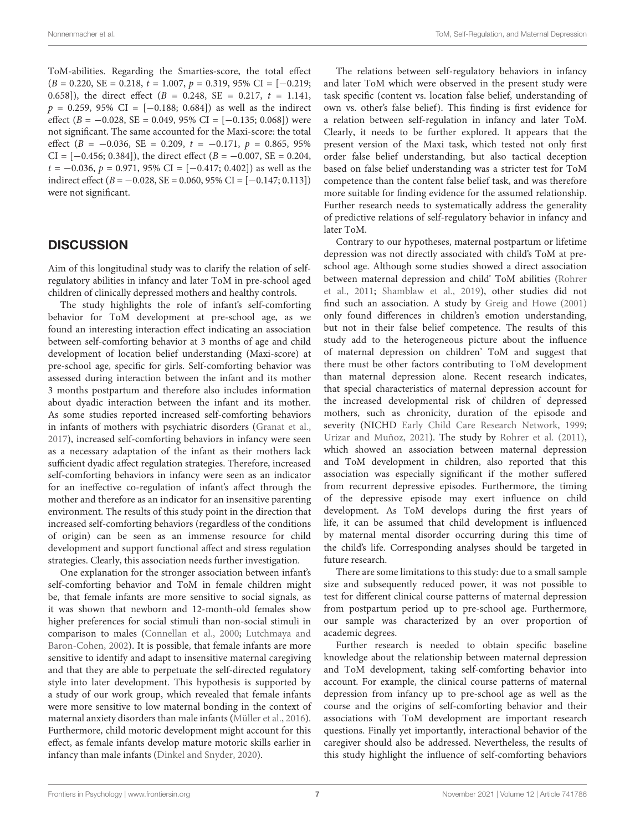ToM-abilities. Regarding the Smarties-score, the total effect  $(B = 0.220, SE = 0.218, t = 1.007, p = 0.319, 95\% \text{ CI} = [-0.219;$ 0.658]), the direct effect  $(B = 0.248, SE = 0.217, t = 1.141,$  $p = 0.259, 95\% \text{ CI} = [-0.188; 0.684])$  as well as the indirect effect ( $B = -0.028$ , SE = 0.049, 95% CI = [-0.135; 0.068]) were not significant. The same accounted for the Maxi-score: the total effect  $(B = -0.036, SE = 0.209, t = -0.171, p = 0.865, 95\%$ CI =  $[-0.456; 0.384]$ , the direct effect ( $B = -0.007$ , SE = 0.204,  $t = -0.036$ ,  $p = 0.971$ , 95% CI = [-0.417; 0.402]) as well as the indirect effect ( $B = -0.028$ , SE = 0.060, 95% CI = [-0.147; 0.113]) were not significant.

## **DISCUSSION**

Aim of this longitudinal study was to clarify the relation of selfregulatory abilities in infancy and later ToM in pre-school aged children of clinically depressed mothers and healthy controls.

The study highlights the role of infant's self-comforting behavior for ToM development at pre-school age, as we found an interesting interaction effect indicating an association between self-comforting behavior at 3 months of age and child development of location belief understanding (Maxi-score) at pre-school age, specific for girls. Self-comforting behavior was assessed during interaction between the infant and its mother 3 months postpartum and therefore also includes information about dyadic interaction between the infant and its mother. As some studies reported increased self-comforting behaviors in infants of mothers with psychiatric disorders [\(Granat et al.,](#page-7-3) [2017\)](#page-7-3), increased self-comforting behaviors in infancy were seen as a necessary adaptation of the infant as their mothers lack sufficient dyadic affect regulation strategies. Therefore, increased self-comforting behaviors in infancy were seen as an indicator for an ineffective co-regulation of infant's affect through the mother and therefore as an indicator for an insensitive parenting environment. The results of this study point in the direction that increased self-comforting behaviors (regardless of the conditions of origin) can be seen as an immense resource for child development and support functional affect and stress regulation strategies. Clearly, this association needs further investigation.

One explanation for the stronger association between infant's self-comforting behavior and ToM in female children might be, that female infants are more sensitive to social signals, as it was shown that newborn and 12-month-old females show higher preferences for social stimuli than non-social stimuli in comparison to males [\(Connellan et al.,](#page-7-28) [2000;](#page-7-28) [Lutchmaya and](#page-8-33) [Baron-Cohen,](#page-8-33) [2002\)](#page-8-33). It is possible, that female infants are more sensitive to identify and adapt to insensitive maternal caregiving and that they are able to perpetuate the self-directed regulatory style into later development. This hypothesis is supported by a study of our work group, which revealed that female infants were more sensitive to low maternal bonding in the context of maternal anxiety disorders than male infants [\(Müller et al.,](#page-8-8) [2016\)](#page-8-8). Furthermore, child motoric development might account for this effect, as female infants develop mature motoric skills earlier in infancy than male infants [\(Dinkel and Snyder,](#page-7-29) [2020\)](#page-7-29).

The relations between self-regulatory behaviors in infancy and later ToM which were observed in the present study were task specific (content vs. location false belief, understanding of own vs. other's false belief). This finding is first evidence for a relation between self-regulation in infancy and later ToM. Clearly, it needs to be further explored. It appears that the present version of the Maxi task, which tested not only first order false belief understanding, but also tactical deception based on false belief understanding was a stricter test for ToM competence than the content false belief task, and was therefore more suitable for finding evidence for the assumed relationship. Further research needs to systematically address the generality of predictive relations of self-regulatory behavior in infancy and later ToM.

Contrary to our hypotheses, maternal postpartum or lifetime depression was not directly associated with child's ToM at preschool age. Although some studies showed a direct association between maternal depression and child' ToM abilities [\(Rohrer](#page-8-20) [et al.,](#page-8-20) [2011;](#page-8-20) [Shamblaw et al.,](#page-8-21) [2019\)](#page-8-21), other studies did not find such an association. A study by [Greig and Howe](#page-7-15) [\(2001\)](#page-7-15) only found differences in children's emotion understanding, but not in their false belief competence. The results of this study add to the heterogeneous picture about the influence of maternal depression on children' ToM and suggest that there must be other factors contributing to ToM development than maternal depression alone. Recent research indicates, that special characteristics of maternal depression account for the increased developmental risk of children of depressed mothers, such as chronicity, duration of the episode and severity (NICHD [Early Child Care Research Network,](#page-7-30) [1999;](#page-7-30) [Urizar and Muñoz,](#page-8-34) [2021\)](#page-8-34). The study by [Rohrer et al.](#page-8-20) [\(2011\)](#page-8-20), which showed an association between maternal depression and ToM development in children, also reported that this association was especially significant if the mother suffered from recurrent depressive episodes. Furthermore, the timing of the depressive episode may exert influence on child development. As ToM develops during the first years of life, it can be assumed that child development is influenced by maternal mental disorder occurring during this time of the child's life. Corresponding analyses should be targeted in future research.

There are some limitations to this study: due to a small sample size and subsequently reduced power, it was not possible to test for different clinical course patterns of maternal depression from postpartum period up to pre-school age. Furthermore, our sample was characterized by an over proportion of academic degrees.

Further research is needed to obtain specific baseline knowledge about the relationship between maternal depression and ToM development, taking self-comforting behavior into account. For example, the clinical course patterns of maternal depression from infancy up to pre-school age as well as the course and the origins of self-comforting behavior and their associations with ToM development are important research questions. Finally yet importantly, interactional behavior of the caregiver should also be addressed. Nevertheless, the results of this study highlight the influence of self-comforting behaviors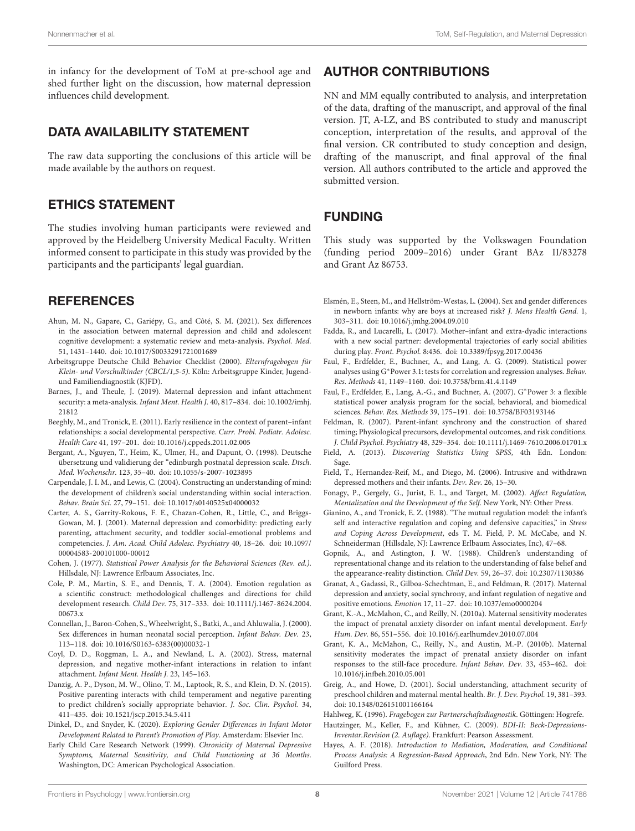in infancy for the development of ToM at pre-school age and shed further light on the discussion, how maternal depression influences child development.

# DATA AVAILABILITY STATEMENT

The raw data supporting the conclusions of this article will be made available by the authors on request.

# ETHICS STATEMENT

The studies involving human participants were reviewed and approved by the Heidelberg University Medical Faculty. Written informed consent to participate in this study was provided by the participants and the participants' legal guardian.

# **REFERENCES**

- <span id="page-7-16"></span>Ahun, M. N., Gapare, C., Gariépy, G., and Côté, S. M. (2021). Sex differences in the association between maternal depression and child and adolescent cognitive development: a systematic review and meta-analysis. Psychol. Med. 51, 1431–1440. [doi: 10.1017/S0033291721001689](https://doi.org/10.1017/S0033291721001689)
- <span id="page-7-25"></span>Arbeitsgruppe Deutsche Child Behavior Checklist (2000). Elternfragebogen für Klein- und Vorschulkinder (CBCL/1,5-5). Köln: Arbeitsgruppe Kinder, Jugendund Familiendiagnostik (KJFD).
- <span id="page-7-14"></span>Barnes, J., and Theule, J. (2019). Maternal depression and infant attachment security: a meta-analysis. Infant Ment. Health J. 40, 817–834. [doi: 10.1002/imhj.](https://doi.org/10.1002/imhj.21812) [21812](https://doi.org/10.1002/imhj.21812)
- <span id="page-7-1"></span>Beeghly, M., and Tronick, E. (2011). Early resilience in the context of parent–infant relationships: a social developmental perspective. Curr. Probl. Pediatr. Adolesc. Health Care 41, 197–201. [doi: 10.1016/j.cppeds.2011.02.005](https://doi.org/10.1016/j.cppeds.2011.02.005)
- <span id="page-7-27"></span>Bergant, A., Nguyen, T., Heim, K., Ulmer, H., and Dapunt, O. (1998). Deutsche übersetzung und validierung der "edinburgh postnatal depression scale. Dtsch. Med. Wochenschr. 123, 35–40. [doi: 10.1055/s-2007-1023895](https://doi.org/10.1055/s-2007-1023895)
- <span id="page-7-0"></span>Carpendale, J. I. M., and Lewis, C. (2004). Constructing an understanding of mind: the development of children's social understanding within social interaction. Behav. Brain Sci. 27, 79–151. [doi: 10.1017/s0140525x04000032](https://doi.org/10.1017/s0140525x04000032)
- <span id="page-7-11"></span>Carter, A. S., Garrity-Rokous, F. E., Chazan-Cohen, R., Little, C., and Briggs-Gowan, M. J. (2001). Maternal depression and comorbidity: predicting early parenting, attachment security, and toddler social-emotional problems and competencies. J. Am. Acad. Child Adolesc. Psychiatry 40, 18–26. [doi: 10.1097/](https://doi.org/10.1097/00004583-200101000-00012) [00004583-200101000-00012](https://doi.org/10.1097/00004583-200101000-00012)
- <span id="page-7-22"></span>Cohen, J. (1977). Statistical Power Analysis for the Behavioral Sciences (Rev. ed.). Hillsdale, NJ: Lawrence Erlbaum Associates, Inc.
- <span id="page-7-5"></span>Cole, P. M., Martin, S. E., and Dennis, T. A. (2004). Emotion regulation as a scientific construct: methodological challenges and directions for child development research. Child Dev. 75, 317–333. [doi: 10.1111/j.1467-8624.2004.](https://doi.org/10.1111/j.1467-8624.2004.00673.x) [00673.x](https://doi.org/10.1111/j.1467-8624.2004.00673.x)
- <span id="page-7-28"></span>Connellan, J., Baron-Cohen, S., Wheelwright, S., Batki, A., and Ahluwalia, J. (2000). Sex differences in human neonatal social perception. Infant Behav. Dev. 23, 113–118. [doi: 10.1016/S0163-6383\(00\)00032-1](https://doi.org/10.1016/S0163-6383(00)00032-1)
- <span id="page-7-7"></span>Coyl, D. D., Roggman, L. A., and Newland, L. A. (2002). Stress, maternal depression, and negative mother-infant interactions in relation to infant attachment. Infant Ment. Health J. 23, 145–163.
- <span id="page-7-9"></span>Danzig, A. P., Dyson, M. W., Olino, T. M., Laptook, R. S., and Klein, D. N. (2015). Positive parenting interacts with child temperament and negative parenting to predict children's socially appropriate behavior. J. Soc. Clin. Psychol. 34, 411–435. [doi: 10.1521/jscp.2015.34.5.411](https://doi.org/10.1521/jscp.2015.34.5.411)
- <span id="page-7-29"></span>Dinkel, D., and Snyder, K. (2020). Exploring Gender Differences in Infant Motor Development Related to Parent's Promotion of Play. Amsterdam: Elsevier Inc.
- <span id="page-7-30"></span>Early Child Care Research Network (1999). Chronicity of Maternal Depressive Symptoms, Maternal Sensitivity, and Child Functioning at 36 Months. Washington, DC: American Psychological Association.

# AUTHOR CONTRIBUTIONS

NN and MM equally contributed to analysis, and interpretation of the data, drafting of the manuscript, and approval of the final version. JT, A-LZ, and BS contributed to study and manuscript conception, interpretation of the results, and approval of the final version. CR contributed to study conception and design, drafting of the manuscript, and final approval of the final version. All authors contributed to the article and approved the submitted version.

# FUNDING

This study was supported by the Volkswagen Foundation (funding period 2009–2016) under Grant BAz II/83278 and Grant Az 86753.

- <span id="page-7-17"></span>Elsmén, E., Steen, M., and Hellström-Westas, L. (2004). Sex and gender differences in newborn infants: why are boys at increased risk? J. Mens Health Gend. 1, 303–311. [doi: 10.1016/j.jmhg.2004.09.010](https://doi.org/10.1016/j.jmhg.2004.09.010)
- <span id="page-7-10"></span>Fadda, R., and Lucarelli, L. (2017). Mother–infant and extra-dyadic interactions with a new social partner: developmental trajectories of early social abilities during play. Front. Psychol. 8:436. [doi: 10.3389/fpsyg.2017.00436](https://doi.org/10.3389/fpsyg.2017.00436)
- <span id="page-7-21"></span>Faul, F., Erdfelder, E., Buchner, A., and Lang, A. G. (2009). Statistical power analyses using G∗Power 3.1: tests for correlation and regression analyses. Behav. Res. Methods 41, 1149–1160. [doi: 10.3758/brm.41.4.1149](https://doi.org/10.3758/brm.41.4.1149)
- <span id="page-7-20"></span>Faul, F., Erdfelder, E., Lang, A.-G., and Buchner, A. (2007). G∗Power 3: a flexible statistical power analysis program for the social, behavioral, and biomedical sciences. Behav. Res. Methods 39, 175–191. [doi: 10.3758/BF03193146](https://doi.org/10.3758/BF03193146)
- <span id="page-7-2"></span>Feldman, R. (2007). Parent-infant synchrony and the construction of shared timing; Physiological precursors, developmental outcomes, and risk conditions. J. Child Psychol. Psychiatry 48, 329–354. [doi: 10.1111/j.1469-7610.2006.01701.x](https://doi.org/10.1111/j.1469-7610.2006.01701.x)
- <span id="page-7-18"></span>Field, A. (2013). Discovering Statistics Using SPSS, 4th Edn. London: Sage.
- <span id="page-7-8"></span>Field, T., Hernandez-Reif, M., and Diego, M. (2006). Intrusive and withdrawn depressed mothers and their infants. Dev. Rev. 26, 15–30.
- <span id="page-7-6"></span>Fonagy, P., Gergely, G., Jurist, E. L., and Target, M. (2002). Affect Regulation, Mentalization and the Development of the Self. New York, NY: Other Press.
- <span id="page-7-4"></span>Gianino, A., and Tronick, E. Z. (1988). "The mutual regulation model: the infant's self and interactive regulation and coping and defensive capacities," in Stress and Coping Across Development, eds T. M. Field, P. M. McCabe, and N. Schneiderman (Hillsdale, NJ: Lawrence Erlbaum Associates, Inc), 47–68.
- <span id="page-7-19"></span>Gopnik, A., and Astington, J. W. (1988). Children's understanding of representational change and its relation to the understanding of false belief and the appearance-reality distinction. Child Dev. 59, 26–37. [doi: 10.2307/1130386](https://doi.org/10.2307/1130386)
- <span id="page-7-3"></span>Granat, A., Gadassi, R., Gilboa-Schechtman, E., and Feldman, R. (2017). Maternal depression and anxiety, social synchrony, and infant regulation of negative and positive emotions. Emotion 17, 11–27. [doi: 10.1037/emo0000204](https://doi.org/10.1037/emo0000204)
- <span id="page-7-12"></span>Grant, K.-A., McMahon, C., and Reilly, N. (2010a). Maternal sensitivity moderates the impact of prenatal anxiety disorder on infant mental development. Early Hum. Dev. 86, 551–556. [doi: 10.1016/j.earlhumdev.2010.07.004](https://doi.org/10.1016/j.earlhumdev.2010.07.004)
- <span id="page-7-13"></span>Grant, K. A., McMahon, C., Reilly, N., and Austin, M.-P. (2010b). Maternal sensitivity moderates the impact of prenatal anxiety disorder on infant responses to the still-face procedure. Infant Behav. Dev. 33, 453–462. [doi:](https://doi.org/10.1016/j.infbeh.2010.05.001) [10.1016/j.infbeh.2010.05.001](https://doi.org/10.1016/j.infbeh.2010.05.001)
- <span id="page-7-15"></span>Greig, A., and Howe, D. (2001). Social understanding, attachment security of preschool children and maternal mental health. Br. J. Dev. Psychol. 19, 381–393. [doi: 10.1348/026151001166164](https://doi.org/10.1348/026151001166164)
- <span id="page-7-26"></span><span id="page-7-24"></span>Hahlweg, K. (1996). Fragebogen zur Partnerschaftsdiagnostik. Göttingen: Hogrefe.
- Hautzinger, M., Keller, F., and Kühner, C. (2009). BDI-II: Beck-Depressions-Inventar.Revision (2. Auflage). Frankfurt: Pearson Assessment.
- <span id="page-7-23"></span>Hayes, A. F. (2018). Introduction to Mediation, Moderation, and Conditional Process Analysis: A Regression-Based Approach, 2nd Edn. New York, NY: The Guilford Press.